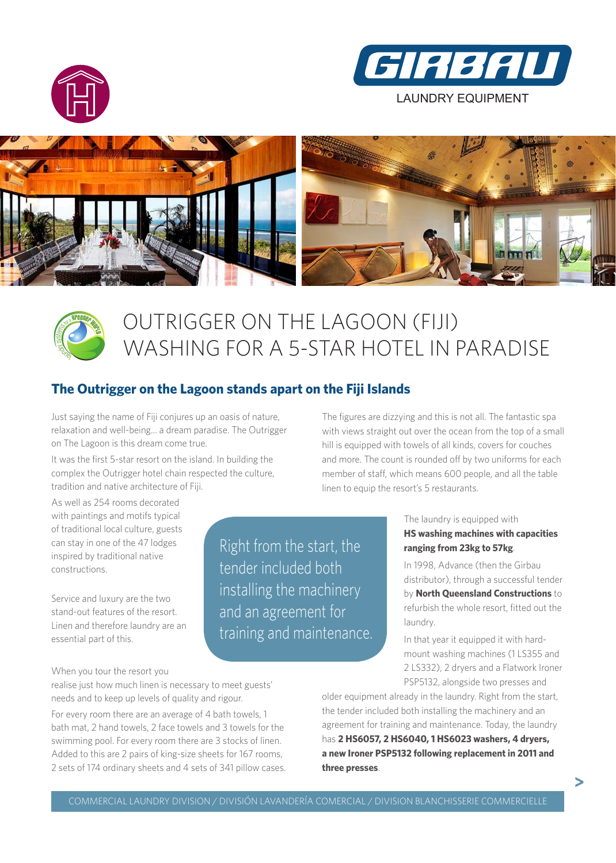







## OUTRIGGER ON THE LAGOON (FIJI) WASHING FOR A 5-STAR HOTEL IN PARADISE

## **The Outrigger on the Lagoon stands apart on the Fiji Islands**

Just saying the name of Fiji conjures up an oasis of nature, relaxation and well-being... a dream paradise. The Outrigger on The Lagoon is this dream come true.

It was the first 5-star resort on the island. In building the complex the Outrigger hotel chain respected the culture, tradition and native architecture of Fiji.

As well as 254 rooms decorated with paintings and motifs typical of traditional local culture, guests can stay in one of the 47 lodges inspired by traditional native constructions.

Service and luxury are the two stand-out features of the resort. Linen and therefore laundry are an essential part of this.

The figures are dizzying and this is not all. The fantastic spa with views straight out over the ocean from the top of a small hill is equipped with towels of all kinds, covers for couches and more. The count is rounded off by two uniforms for each member of staff, which means 600 people, and all the table linen to equip the resort's 5 restaurants.

> The laundry is equipped with **HS washing machines with capacities ranging from 23kg to 57kg**.

In 1998, Advance (then the Girbau distributor), through a successful tender by **North Queensland Constructions** to refurbish the whole resort, fitted out the laundry.

In that year it equipped it with hardmount washing machines (1 LS355 and 2 LS332), 2 dryers and a Flatwork Ironer PSP5132, alongside two presses and

**>**

When you tour the resort you

realise just how much linen is necessary to meet guests' needs and to keep up levels of quality and rigour.

For every room there are an average of 4 bath towels, 1 bath mat, 2 hand towels, 2 face towels and 3 towels for the swimming pool. For every room there are 3 stocks of linen. Added to this are 2 pairs of king-size sheets for 167 rooms, 2 sets of 174 ordinary sheets and 4 sets of 341 pillow cases. older equipment already in the laundry. Right from the start, the tender included both installing the machinery and an agreement for training and maintenance. Today, the laundry has **2 HS6057, 2 HS6040, 1 HS6023 washers, 4 dryers, a new Ironer PSP5132 following replacement in 2011 and three presses**.

Right from the start, the

installing the machinery

training and maintenance.

tender included both

and an agreement for